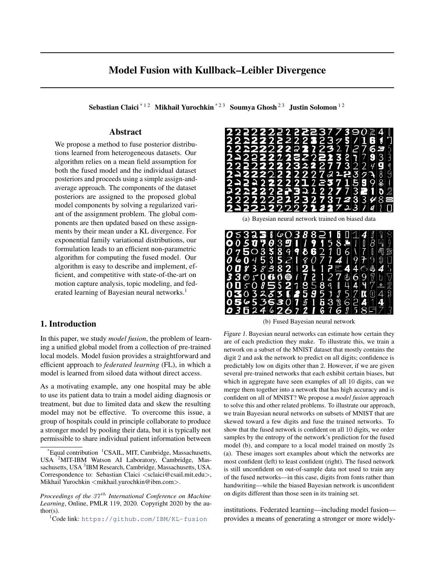# <span id="page-0-0"></span>Model Fusion with Kullback–Leibler Divergence

Sebastian Claici<sup>\*</sup><sup>12</sup> Mikhail Yurochkin<sup>\*23</sup> Soumya Ghosh<sup>23</sup> Justin Solomon<sup>12</sup>

# Abstract

We propose a method to fuse posterior distributions learned from heterogeneous datasets. Our algorithm relies on a mean field assumption for both the fused model and the individual dataset posteriors and proceeds using a simple assign-andaverage approach. The components of the dataset posteriors are assigned to the proposed global model components by solving a regularized variant of the assignment problem. The global components are then updated based on these assignments by their mean under a KL divergence. For exponential family variational distributions, our formulation leads to an efficient non-parametric algorithm for computing the fused model. Our algorithm is easy to describe and implement, efficient, and competitive with state-of-the-art on motion capture analysis, topic modeling, and federated learning of Bayesian neural networks.<sup>1</sup>

# 1. Introduction

In this paper, we study *model fusion*, the problem of learning a unified global model from a collection of pre-trained local models. Model fusion provides a straightforward and efficient approach to *federated learning* (FL), in which a model is learned from siloed data without direct access.

As a motivating example, any one hospital may be able to use its patient data to train a model aiding diagnosis or treatment, but due to limited data and skew the resulting model may not be effective. To overcome this issue, a group of hospitals could in principle collaborate to produce a stronger model by pooling their data, but it is typically not permissible to share individual patient information between

<sup>1</sup>Code link: <https://github.com/IBM/KL-fusion>



(b) Fused Bayesian neural network

Figure 1. Bayesian neural networks can estimate how certain they are of each prediction they make. To illustrate this, we train a network on a subset of the MNIST dataset that mostly contains the digit 2 and ask the network to predict on all digits; confidence is predictably low on digits other than 2. However, if we are given several pre-trained networks that each exhibit certain biases, but which in aggregate have seen examples of all 10 digits, can we merge them together into a network that has high accuracy and is confident on all of MNIST? We propose a *model fusion* approach to solve this and other related problems. To illustrate our approach, we train Bayesian neural networks on subsets of MNIST that are skewed toward a few digits and fuse the trained networks. To show that the fused network is confident on all 10 digits, we order samples by the entropy of the network's prediction for the fused model (b), and compare to a local model trained on mostly 2s (a). These images sort examples about which the networks are most confident (left) to least confident (right). The fused network is still unconfident on out-of-sample data not used to train any of the fused networks—in this case, digits from fonts rather than handwriting—while the biased Bayesian network is unconfident on digits different than those seen in its training set.

institutions. Federated learning—including model fusion provides a means of generating a stronger or more widely-

Equal contribution <sup>1</sup>CSAIL, MIT, Cambridge, Massachusetts, USA <sup>2</sup>MIT-IBM Watson AI Laboratory, Cambridge, Massachusetts, USA<sup>3</sup>IBM Research, Cambridge, Massachusetts, USA. Correspondence to: Sebastian Claici  $\langle$  sclaici@csail.mit.edu $\rangle$ , Mikhail Yurochkin <mikhail.yurochkin@ibm.com>.

*Proceedings of the 37<sup>th</sup> International Conference on Machine Learning*, Online, PMLR 119, 2020. Copyright 2020 by the au $thor(s)$ .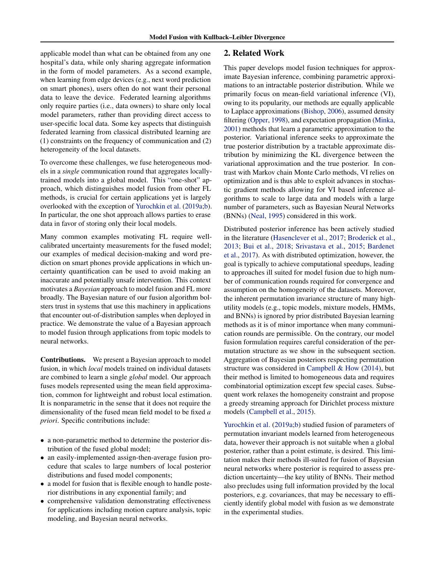applicable model than what can be obtained from any one hospital's data, while only sharing aggregate information in the form of model parameters. As a second example, when learning from edge devices (e.g., next word prediction on smart phones), users often do not want their personal data to leave the device. Federated learning algorithms only require parties (i.e., data owners) to share only local model parameters, rather than providing direct access to user-specific local data. Some key aspects that distinguish federated learning from classical distributed learning are (1) constraints on the frequency of communication and (2) heterogeneity of the local datasets.

To overcome these challenges, we fuse heterogeneous models in a *single* communication round that aggregates locallytrained models into a global model. This "one-shot" approach, which distinguishes model fusion from other FL methods, is crucial for certain applications yet is largely overlooked with the exception of [Yurochkin et al.](#page-9-0) [\(2019a;b\)](#page-9-0). In particular, the one shot approach allows parties to erase data in favor of storing only their local models.

Many common examples motivating FL require wellcalibrated uncertainty measurements for the fused model; our examples of medical decision-making and word prediction on smart phones provide applications in which uncertainty quantification can be used to avoid making an inaccurate and potentially unsafe intervention. This context motivates a *Bayesian* approach to model fusion and FL more broadly. The Bayesian nature of our fusion algorithm bolsters trust in systems that use this machinery in applications that encounter out-of-distribution samples when deployed in practice. We demonstrate the value of a Bayesian approach to model fusion through applications from topic models to neural networks.

Contributions. We present a Bayesian approach to model fusion, in which *local* models trained on individual datasets are combined to learn a single *global* model. Our approach fuses models represented using the mean field approximation, common for lightweight and robust local estimation. It is nonparametric in the sense that it does not require the dimensionality of the fused mean field model to be fixed *a priori*. Specific contributions include:

- a non-parametric method to determine the posterior distribution of the fused global model;
- an easily-implemented assign-then-average fusion procedure that scales to large numbers of local posterior distributions and fused model components;
- a model for fusion that is flexible enough to handle posterior distributions in any exponential family; and
- comprehensive validation demonstrating effectiveness for applications including motion capture analysis, topic modeling, and Bayesian neural networks.

# 2. Related Work

This paper develops model fusion techniques for approximate Bayesian inference, combining parametric approximations to an intractable posterior distribution. While we primarily focus on mean-field variational inference (VI), owing to its popularity, our methods are equally applicable to Laplace approximations [\(Bishop,](#page-8-0) [2006\)](#page-8-0), assumed density filtering [\(Opper,](#page-8-0) [1998\)](#page-8-0), and expectation propagation [\(Minka,](#page-8-0) [2001\)](#page-8-0) methods that learn a parametric approximation to the posterior. Variational inference seeks to approximate the true posterior distribution by a tractable approximate distribution by minimizing the KL divergence between the variational approximation and the true posterior. In contrast with Markov chain Monte Carlo methods, VI relies on optimization and is thus able to exploit advances in stochastic gradient methods allowing for VI based inference algorithms to scale to large data and models with a large number of parameters, such as Bayesian Neural Networks (BNNs) [\(Neal,](#page-8-0) [1995\)](#page-8-0) considered in this work.

Distributed posterior inference has been actively studied in the literature [\(Hasenclever et al.,](#page-8-0) [2017;](#page-8-0) [Broderick et al.,](#page-8-0) [2013;](#page-8-0) [Bui et al.,](#page-8-0) [2018;](#page-8-0) [Srivastava et al.,](#page-9-0) [2015;](#page-9-0) [Bardenet](#page-8-0) [et al.,](#page-8-0) [2017\)](#page-8-0). As with distributed optimization, however, the goal is typically to achieve computational speedups, leading to approaches ill suited for model fusion due to high number of communication rounds required for convergence and assumption on the homogeneity of the datasets. Moreover, the inherent permutation invariance structure of many highutility models (e.g., topic models, mixture models, HMMs, and BNNs) is ignored by prior distributed Bayesian learning methods as it is of minor importance when many communication rounds are permissible. On the contrary, our model fusion formulation requires careful consideration of the permutation structure as we show in the subsequent section. Aggregation of Bayesian posteriors respecting permutation structure was considered in [Campbell & How](#page-8-0) [\(2014\)](#page-8-0), but their method is limited to homogeneous data and requires combinatorial optimization except few special cases. Subsequent work relaxes the homogeneity constraint and propose a greedy streaming approach for Dirichlet process mixture models [\(Campbell et al.,](#page-8-0) [2015\)](#page-8-0).

[Yurochkin et al.](#page-9-0) [\(2019a;b\)](#page-9-0) studied fusion of parameters of permutation invariant models learned from heterogeneous data, however their approach is not suitable when a global posterior, rather than a point estimate, is desired. This limitation makes their methods ill-suited for fusion of Bayesian neural networks where posterior is required to assess prediction uncertainty—the key utility of BNNs. Their method also precludes using full information provided by the local posteriors, e.g. covariances, that may be necessary to efficiently identify global model with fusion as we demonstrate in the experimental studies.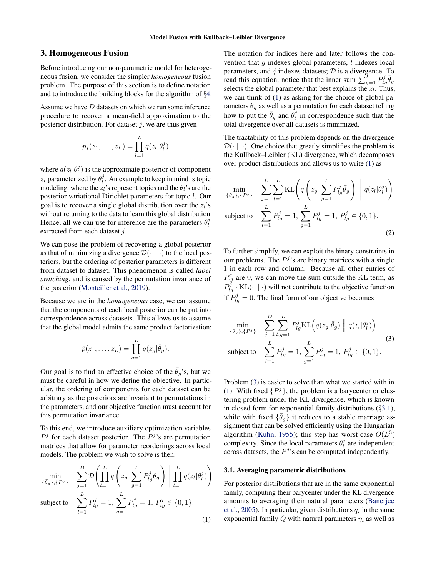# <span id="page-2-0"></span>3. Homogeneous Fusion

Before introducing our non-parametric model for heterogeneous fusion, we consider the simpler *homogeneous* fusion problem. The purpose of this section is to define notation and to introduce the building blocks for the algorithm of §[4.](#page-3-0)

Assume we have D datasets on which we run some inference procedure to recover a mean-field approximation to the posterior distribution. For dataset  $j$ , we are thus given

$$
p_j(z_1,\ldots,z_L)=\prod_{l=1}^L q(z_l|\theta_l^j)
$$

where  $q(z_l|\theta_l^j)$  is the approximate posterior of component  $z_l$  parameterized by  $\theta_l^j$ . An example to keep in mind is topic modeling, where the  $z_l$ 's represent topics and the  $\theta_l$ 's are the posterior variational Dirichlet parameters for topic l. Our goal is to recover a single global distribution over the  $z_l$ 's without returning to the data to learn this global distribution. Hence, all we can use for inference are the parameters  $\theta_l^j$ extracted from each dataset j.

We can pose the problem of recovering a global posterior as that of minimizing a divergence  $\mathcal{D}(\cdot \parallel \cdot)$  to the local posteriors, but the ordering of posterior parameters is different from dataset to dataset. This phenomenon is called *label switching*, and is caused by the permutation invariance of the posterior [\(Monteiller et al.,](#page-8-0) [2019\)](#page-8-0).

Because we are in the *homogeneous* case, we can assume that the components of each local posterior can be put into correspondence across datasets. This allows us to assume that the global model admits the same product factorization:

$$
\bar{p}(z_1,\ldots,z_L)=\prod_{g=1}^L q(z_g|\bar{\theta}_g).
$$

Our goal is to find an effective choice of the  $\bar{\theta}_g$ 's, but we must be careful in how we define the objective. In particular, the ordering of components for each dataset can be arbitrary as the posteriors are invariant to permutations in the parameters, and our objective function must account for this permutation invariance.

To this end, we introduce auxiliary optimization variables  $P<sup>j</sup>$  for each dataset posterior. The  $P<sup>j</sup>$ 's are permutation matrices that allow for parameter reorderings across local models. The problem we wish to solve is then:

$$
\min_{\{\bar{\theta}_g\},\{P^j\}} \quad \sum_{j=1}^D \mathcal{D}\left(\prod_{l=1}^L q\left(z_g \left|\sum_{g=1}^L P^j_{lg} \bar{\theta}_g\right.\right)\right) \left\| \prod_{l=1}^L q(z_l|\theta^j_l)\right)
$$
\nsubject to 
$$
\sum_{l=1}^L P^j_{lg} = 1, \sum_{l=1}^L P^j_{lg} = 1, P^j_{lg} \in \{0, 1\}.
$$

 $g=1$ 

(1)

subject to  $\sum$ 

 $_{l=1}$ 

The notation for indices here and later follows the convention that  $g$  indexes global parameters,  $l$  indexes local parameters, and  $j$  indexes datasets;  $D$  is a divergence. To read this equation, notice that the inner sum  $\sum_{g=1}^{L} P_{lg}^j \bar{\theta}_g$ selects the global parameter that best explains the  $z_l$ . Thus, we can think of (1) as asking for the choice of global parameters  $\bar{\theta}_q$  as well as a permutation for each dataset telling how to put the  $\bar{\theta}_g$  and  $\theta_l^j$  in correspondence such that the total divergence over all datasets is minimized.

The tractability of this problem depends on the divergence  $\mathcal{D}(\cdot \parallel \cdot)$ . One choice that greatly simplifies the problem is the Kullback–Leibler (KL) divergence, which decomposes over product distributions and allows us to write (1) as

$$
\min_{\{\bar{\theta}_g\},\{P^j\}} \sum_{j=1}^{D} \sum_{l=1}^{L} \mathrm{KL}\left(q\left(z_g \middle| \sum_{g=1}^{L} P_{lg}^j \bar{\theta}_g\right) \middle| q(z_l | \theta_l^j)\right)
$$
\nsubject to\n
$$
\sum_{l=1}^{L} P_{lg}^j = 1, \sum_{g=1}^{L} P_{lg}^j = 1, P_{lg}^j \in \{0, 1\}.
$$
\n(2)

To further simplify, we can exploit the binary constraints in our problems. The  $P<sup>j</sup>$ 's are binary matrices with a single 1 in each row and column. Because all other entries of  $P_{g}^{j}$  are 0, we can move the sum outside the KL term, as  $P_{lg}^{j} \cdot \text{KL}(\cdot \parallel \cdot)$  will not contribute to the objective function if  $P_{lg}^j = 0$ . The final form of our objective becomes

$$
\min_{\{\bar{\theta}_g\}, \{P^j\}} \quad \sum_{j=1}^{D} \sum_{l,g=1}^{L} P^j_{lg} \text{KL}\left(q(z_g | \bar{\theta}_g) \middle\| q(z_l | \theta^j_l)\right)
$$
\nsubject to

\n
$$
\sum_{l=1}^{L} P^j_{lg} = 1, \sum_{g=1}^{L} P^j_{lg} = 1, P^j_{lg} \in \{0, 1\}.
$$
\n(3)

Problem (3) is easier to solve than what we started with in (1). With fixed  $\{P^j\}$ , the problem is a barycenter or clustering problem under the KL divergence, which is known in closed form for exponential family distributions (§3.1), while with fixed  $\{\bar{\theta}_g\}$  it reduces to a stable marriage assignment that can be solved efficiently using the Hungarian algorithm [\(Kuhn,](#page-8-0) [1955\)](#page-8-0); this step has worst-case  $\tilde{O}(L^3)$ complexity. Since the local parameters  $\theta_l^j$  are independent across datasets, the  $P<sup>j</sup>$ 's can be computed independently.

#### 3.1. Averaging parametric distributions

For posterior distributions that are in the same exponential family, computing their barycenter under the KL divergence amounts to averaging their natural parameters [\(Banerjee](#page-8-0) [et al.,](#page-8-0) [2005\)](#page-8-0). In particular, given distributions  $q_i$  in the same exponential family Q with natural parameters  $\eta_i$  as well as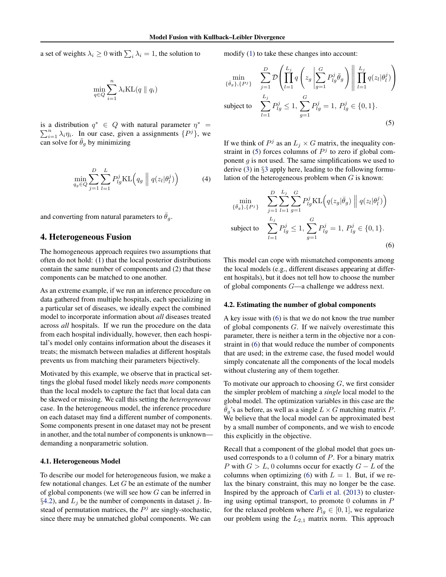<span id="page-3-0"></span>a set of weights  $\lambda_i \geq 0$  with  $\sum_i \lambda_i = 1$ , the solution to

$$
\min_{q \in Q} \sum_{i=1}^{n} \lambda_i \text{KL}(q \parallel q_i)
$$

is a distribution  $q^* \in Q$  with natural parameter  $\eta^* =$  $\sum_{i=1}^{n} \lambda_i \eta_i$ . In our case, given a assignments  $\{P^j\}$ , we can solve for  $\theta_g$  by minimizing

$$
\min_{q_g \in Q} \sum_{j=1}^{D} \sum_{l=1}^{L} P_{lg}^j \text{KL}\left(q_g \mid q(z_l | \theta_l^j)\right) \tag{4}
$$

and converting from natural parameters to  $\theta_g$ .

### 4. Heterogeneous Fusion

The homogeneous approach requires two assumptions that often do not hold: (1) that the local posterior distributions contain the same number of components and (2) that these components can be matched to one another.

As an extreme example, if we run an inference procedure on data gathered from multiple hospitals, each specializing in a particular set of diseases, we ideally expect the combined model to incorporate information about *all* diseases treated across *all* hospitals. If we run the procedure on the data from each hospital individually, however, then each hospital's model only contains information about the diseases it treats; the mismatch between maladies at different hospitals prevents us from matching their parameters bijectively.

Motivated by this example, we observe that in practical settings the global fused model likely needs *more* components than the local models to capture the fact that local data can be skewed or missing. We call this setting the *heterogeneous* case. In the heterogeneous model, the inference procedure on each dataset may find a different number of components. Some components present in one dataset may not be present in another, and the total number of components is unknown demanding a nonparametric solution.

### 4.1. Heterogeneous Model

To describe our model for heterogeneous fusion, we make a few notational changes. Let  $G$  be an estimate of the number of global components (we will see how G can be inferred in §4.2), and  $L_i$  be the number of components in dataset j. Instead of permutation matrices, the  $P<sup>j</sup>$  are singly-stochastic, since there may be unmatched global components. We can

modify [\(1\)](#page-2-0) to take these changes into account:

$$
\min_{\{\bar{\theta}_g\}, \{P^j\}} \sum_{j=1}^{D} \mathcal{D} \left( \prod_{l=1}^{L_j} q \left( z_g \left| \sum_{g=1}^{G} P^j_{lg} \bar{\theta}_g \right) \right| \left| \prod_{l=1}^{L_j} q(z_l | \theta^j_l) \right) \right)
$$
\nsubject to\n
$$
\sum_{l=1}^{L_j} P^j_{lg} \leq 1, \sum_{g=1}^{G} P^j_{lg} = 1, P^j_{lg} \in \{0, 1\}.
$$
\n(5)

If we think of  $P^j$  as an  $L_j \times G$  matrix, the inequality constraint in (5) forces columns of  $P<sup>j</sup>$  to zero if global component  $g$  is not used. The same simplifications we used to derive [\(3\)](#page-2-0) in §[3](#page-2-0) apply here, leading to the following formulation of the heterogeneous problem when  $G$  is known:

$$
\min_{\{\bar{\theta}_g\}, \{P^j\}} \sum_{j=1}^{D} \sum_{l=1}^{L_j} \sum_{g=1}^{G} P_{lg}^j \text{KL}\left(q(z_g | \bar{\theta}_g) \middle\| q(z_l | \theta_l^j)\right)
$$
\nsubject to\n
$$
\sum_{l=1}^{L_j} P_{lg}^j \leq 1, \sum_{g=1}^{G} P_{lg}^j = 1, P_{lg}^j \in \{0, 1\}.
$$
\n(6)

This model can cope with mismatched components among the local models (e.g., different diseases appearing at different hospitals), but it does not tell how to choose the number of global components G—a challenge we address next.

#### 4.2. Estimating the number of global components

A key issue with (6) is that we do not know the true number of global components  $G$ . If we naïvely overestimate this parameter, there is neither a term in the objective nor a constraint in (6) that would reduce the number of components that are used; in the extreme case, the fused model would simply concatenate all the components of the local models without clustering any of them together.

To motivate our approach to choosing  $G$ , we first consider the simpler problem of matching a *single* local model to the global model. The optimization variables in this case are the  $\bar{\theta}_q$ 's as before, as well as a single  $L \times G$  matching matrix P. We believe that the local model can be approximated best by a small number of components, and we wish to encode this explicitly in the objective.

Recall that a component of the global model that goes unused corresponds to a  $0$  column of  $P$ . For a binary matrix P with  $G > L$ , 0 columns occur for exactly  $G - L$  of the columns when optimizing (6) with  $L = 1$ . But, if we relax the binary constraint, this may no longer be the case. Inspired by the approach of [Carli et al.](#page-8-0) [\(2013\)](#page-8-0) to clustering using optimal transport, to promote  $0$  columns in  $P$ for the relaxed problem where  $P_{lg} \in [0, 1]$ , we regularize our problem using the  $L_{2,1}$  matrix norm. This approach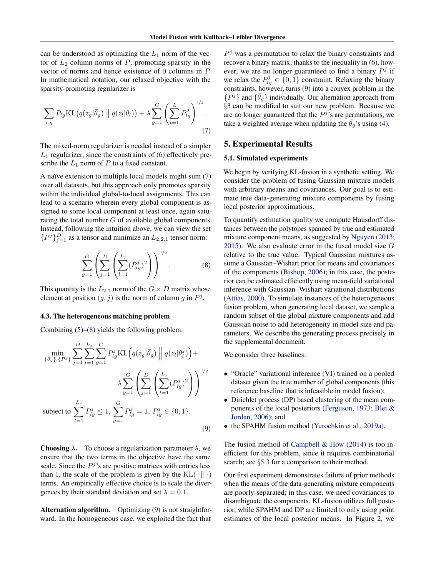<span id="page-4-0"></span>can be understood as optimizing the  $L_1$  norm of the vector of  $L_2$  column norms of P, promoting sparsity in the vector of norms and hence existence of 0 columns in P. In mathematical notation, our relaxed objective with the sparsity-promoting regularizer is

$$
\sum_{l,g} P_{lg} \mathrm{KL}\big(q(z_g|\bar{\theta}_g) \parallel q(z_l|\theta_l)\big) + \lambda \sum_{g=1}^G \left(\sum_{l=1}^L P_{lg}^2\right)^{1/2}.
$$
\n(7)

The mixed-norm regularizer is needed instead of a simpler  $L_1$  regularizer, since the constraints of [\(6\)](#page-3-0) effectively prescribe the  $L_1$  norm of  $P$  to a fixed constant.

A naïve extension to multiple local models might sum (7) over all datasets, but this approach only promotes sparsity within the individual global-to-local assignments. This can lead to a scenario wherein every global component is assigned to some local component at least once, again saturating the total number  $G$  of available global components. Instead, following the intuition above, we can view the set  ${P<sup>j</sup>}_{j=1}^D$  as a tensor and minimize an  $L_{2,2,1}$  tensor norm:

$$
\sum_{g=1}^{G} \left( \sum_{j=1}^{D} \left( \sum_{l=1}^{L_j} (P_{lg}^j)^2 \right) \right)^{1/2}.
$$
 (8)

 $1/2$ 

This quantity is the  $L_{2,1}$  norm of the  $G \times D$  matrix whose element at position  $(g, j)$  is the norm of column g in  $P^j$ .

## 4.3. The heterogeneous matching problem

Combining [\(5\)](#page-3-0)–(8) yields the following problem:

$$
\min_{\{\bar{\theta}_g\}, \{P^j\}} \sum_{j=1}^D \sum_{l=1}^{L_j} \sum_{g=1}^G P_{lg}^j \text{KL}\Big(q(z_g|\bar{\theta}_g) \Big| \Big| q(z_l|\theta_l^j) \Big) +
$$
\n
$$
\lambda \sum_{g=1}^G \left( \sum_{j=1}^D \left( \sum_{l=1}^{L_j} (P_{lg}^j)^2 \right) \right)^{1/2}
$$
\nsubject to\n
$$
\sum_{l=1}^{L_j} P_{lg}^j \le 1, \sum_{g=1}^G P_{lg}^j = 1, P_{lg}^j \in \{0, 1\}.
$$
\n(9)

**Choosing**  $\lambda$ **.** To choose a regularization parameter  $\lambda$ , we ensure that the two terms in the objective have the same scale. Since the  $P<sup>j</sup>$ 's are positive matrices with entries less than 1, the scale of the problem is given by the  $KL(\cdot \parallel \cdot)$ terms. An empirically effective choice is to scale the divergences by their standard deviation and set  $\lambda = 0.1$ .

Alternation algorithm. Optimizing (9) is not straightforward. In the homogeneous case, we exploited the fact that

 $P<sup>j</sup>$  was a permutation to relax the binary constraints and recover a binary matrix; thanks to the inequality in [\(6\)](#page-3-0), however, we are no longer guaranteed to find a binary  $P<sup>j</sup>$  if we relax the  $P_{lg}^j \in \{0, 1\}$  constraint. Relaxing the binary constraints, however, turns (9) into a convex problem in the  $\{P^j\}$  and  $\{\bar{\theta}_g\}$  individually. Our alternation approach from §[3](#page-2-0) can be modified to suit our new problem. Because we are no longer guaranteed that the  $P<sup>j</sup>$ 's are permutations, we take a weighted average when updating the  $\bar{\theta}_g$ 's using [\(4\)](#page-3-0).

# 5. Experimental Results

#### 5.1. Simulated experiments

We begin by verifying KL-fusion in a synthetic setting. We consider the problem of fusing Gaussian mixture models with arbitrary means and covariances. Our goal is to estimate true data-generating mixture components by fusing local posterior approximations.

To quantify estimation quality we compute Hausdorff distances between the polytopes spanned by true and estimated mixture component means, as suggested by [Nguyen](#page-8-0) [\(2013;](#page-8-0) [2015\)](#page-8-0). We also evaluate error in the fused model size  $G$ relative to the true value. Typical Gaussian mixtures assume a Gaussian–Wishart prior for means and covariances of the components [\(Bishop,](#page-8-0) [2006\)](#page-8-0); in this case, the posterior can be estimated efficiently using mean-field variational inference with Gaussian–Wishart variational distributions [\(Attias,](#page-8-0) [2000\)](#page-8-0). To simulate instances of the heterogeneous fusion problem, when generating local dataset, we sample a random subset of the global mixture components and add Gaussian noise to add heterogeneity in model size and parameters. We describe the generating process precisely in the supplemental document.

We consider three baselines:

- "Oracle" variational inference (VI) trained on a pooled dataset given the true number of global components (this reference baseline that is infeasible in model fusion);
- Dirichlet process (DP) based clustering of the mean components of the local posteriors [\(Ferguson,](#page-8-0) [1973;](#page-8-0) [Blei &](#page-8-0) [Jordan,](#page-8-0) [2006\)](#page-8-0); and
- the SPAHM fusion method [\(Yurochkin et al.,](#page-9-0) [2019a\)](#page-9-0).

The fusion method of Campbell  $&$  How [\(2014\)](#page-8-0) is too inefficient for this problem, since it requires combinatorial search; see §[5.3](#page-6-0) for a comparison to their method.

Our first experiment demonstrates failure of prior methods when the means of the data-generating mixture components are poorly-separated; in this case, we need covariances to disambiguate the components. KL-fusion utilizes full posterior, while SPAHM and DP are limited to only using point estimates of the local posterior means. In Figure [2,](#page-5-0) we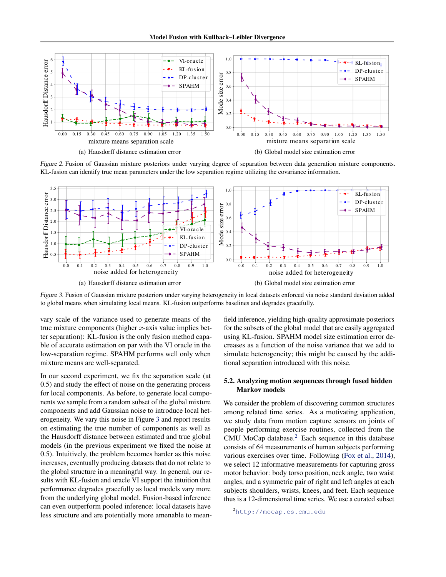<span id="page-5-0"></span>

Figure 2. Fusion of Gaussian mixture posteriors under varying degree of separation between data generation mixture components. KL-fusion can identify true mean parameters under the low separation regime utilizing the covariance information.



Figure 3. Fusion of Gaussian mixture posteriors under varying heterogeneity in local datasets enforced via noise standard deviation added to global means when simulating local means. KL-fusion outperforms baselines and degrades gracefully.

vary scale of the variance used to generate means of the true mixture components (higher  $x$ -axis value implies better separation): KL-fusion is the only fusion method capable of accurate estimation on par with the VI oracle in the low-separation regime. SPAHM performs well only when mixture means are well-separated.

In our second experiment, we fix the separation scale (at 0.5) and study the effect of noise on the generating process for local components. As before, to generate local components we sample from a random subset of the global mixture components and add Gaussian noise to introduce local heterogeneity. We vary this noise in Figure 3 and report results on estimating the true number of components as well as the Hausdorff distance between estimated and true global models (in the previous experiment we fixed the noise at 0.5). Intuitively, the problem becomes harder as this noise increases, eventually producing datasets that do not relate to the global structure in a meaningful way. In general, our results with KL-fusion and oracle VI support the intuition that performance degrades gracefully as local models vary more from the underlying global model. Fusion-based inference can even outperform pooled inference: local datasets have less structure and are potentially more amenable to mean-

field inference, yielding high-quality approximate posteriors for the subsets of the global model that are easily aggregated using KL-fusion. SPAHM model size estimation error decreases as a function of the noise variance that we add to simulate heterogeneity; this might be caused by the additional separation introduced with this noise.

## 5.2. Analyzing motion sequences through fused hidden Markov models

We consider the problem of discovering common structures among related time series. As a motivating application, we study data from motion capture sensors on joints of people performing exercise routines, collected from the CMU MoCap database. $<sup>2</sup>$  Each sequence in this database</sup> consists of 64 measurements of human subjects performing various exercises over time. Following [\(Fox et al.,](#page-8-0) [2014\)](#page-8-0), we select 12 informative measurements for capturing gross motor behavior: body torso position, neck angle, two waist angles, and a symmetric pair of right and left angles at each subjects shoulders, wrists, knees, and feet. Each sequence thus is a 12-dimensional time series. We use a curated subset

<sup>2</sup><http://mocap.cs.cmu.edu>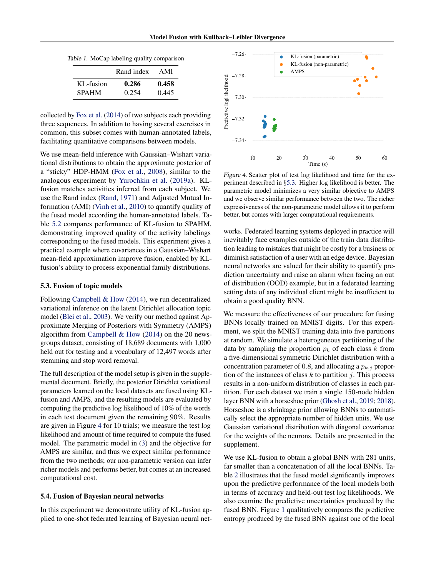<span id="page-6-0"></span>

|  |  | Table 1. MoCap labeling quality comparison |
|--|--|--------------------------------------------|
|  |  |                                            |

|              | Rand index | AMI   |
|--------------|------------|-------|
| KL-fusion    | 0.286      | 0.458 |
| <b>SPAHM</b> | 0.254      | 0.445 |

collected by [Fox et al.](#page-8-0) [\(2014\)](#page-8-0) of two subjects each providing three sequences. In addition to having several exercises in common, this subset comes with human-annotated labels, facilitating quantitative comparisons between models.

We use mean-field inference with Gaussian–Wishart variational distributions to obtain the approximate posterior of a "sticky" HDP-HMM [\(Fox et al.,](#page-8-0) [2008\)](#page-8-0), similar to the analogous experiment by [Yurochkin et al.](#page-9-0) [\(2019a\)](#page-9-0). KLfusion matches activities inferred from each subject. We use the Rand index [\(Rand,](#page-8-0) [1971\)](#page-8-0) and Adjusted Mutual Information (AMI) [\(Vinh et al.,](#page-9-0) [2010\)](#page-9-0) to quantify quality of the fused model according the human-annotated labels. Table [5.2](#page-5-0) compares performance of KL-fusion to SPAHM, demonstrating improved quality of the activity labelings corresponding to the fused models. This experiment gives a practical example where covariances in a Gaussian–Wishart mean-field approximation improve fusion, enabled by KLfusion's ability to process exponential family distributions.

#### 5.3. Fusion of topic models

Following [Campbell & How](#page-8-0) [\(2014\)](#page-8-0), we run decentralized variational inference on the latent Dirichlet allocation topic model [\(Blei et al.,](#page-8-0) [2003\)](#page-8-0). We verify our method against Approximate Merging of Posteriors with Symmetry (AMPS) algorithm from [Campbell & How](#page-8-0)  $(2014)$  on the 20 newsgroups dataset, consisting of 18,689 documents with 1,000 held out for testing and a vocabulary of 12,497 words after stemming and stop word removal.

The full description of the model setup is given in the supplemental document. Briefly, the posterior Dirichlet variational parameters learned on the local datasets are fused using KLfusion and AMPS, and the resulting models are evaluated by computing the predictive log likelihood of 10% of the words in each test document given the remaining 90%. Results are given in Figure 4 for 10 trials; we measure the test log likelihood and amount of time required to compute the fused model. The parametric model in [\(3\)](#page-2-0) and the objective for AMPS are similar, and thus we expect similar performance from the two methods; our non-parametric version can infer richer models and performs better, but comes at an increased computational cost.

#### 5.4. Fusion of Bayesian neural networks

In this experiment we demonstrate utility of KL-fusion applied to one-shot federated learning of Bayesian neural net-



Figure 4. Scatter plot of test log likelihood and time for the experiment described in §5.3. Higher log likelihood is better. The parametric model minimizes a very similar objective to AMPS and we observe similar performance between the two. The richer expressiveness of the non-parametric model allows it to perform better, but comes with larger computational requirements.

works. Federated learning systems deployed in practice will inevitably face examples outside of the train data distribution leading to mistakes that might be costly for a business or diminish satisfaction of a user with an edge device. Bayesian neural networks are valued for their ability to quantify prediction uncertainty and raise an alarm when facing an out of distribution (OOD) example, but in a federated learning setting data of any individual client might be insufficient to obtain a good quality BNN.

We measure the effectiveness of our procedure for fusing BNNs locally trained on MNIST digits. For this experiment, we split the MNIST training data into five partitions at random. We simulate a heterogeneous partitioning of the data by sampling the proportion  $p_k$  of each class k from a five-dimensional symmetric Dirichlet distribution with a concentration parameter of 0.8, and allocating a  $p_{k,i}$  proportion of the instances of class  $k$  to partition  $j$ . This process results in a non-uniform distribution of classes in each partition. For each dataset we train a single 150-node hidden layer BNN with a horseshoe prior [\(Ghosh et al.,](#page-8-0) [2019;](#page-8-0) [2018\)](#page-8-0). Horseshoe is a shrinkage prior allowing BNNs to automatically select the appropriate number of hidden units. We use Gaussian variational distribution with diagonal covariance for the weights of the neurons. Details are presented in the supplement.

We use KL-fusion to obtain a global BNN with 281 units, far smaller than a concatenation of all the local BNNs. Table [2](#page-7-0) illustrates that the fused model significantly improves upon the predictive performance of the local models both in terms of accuracy and held-out test log likelihoods. We also examine the predictive uncertainties produced by the fused BNN. Figure [1](#page-0-0) qualitatively compares the predictive entropy produced by the fused BNN against one of the local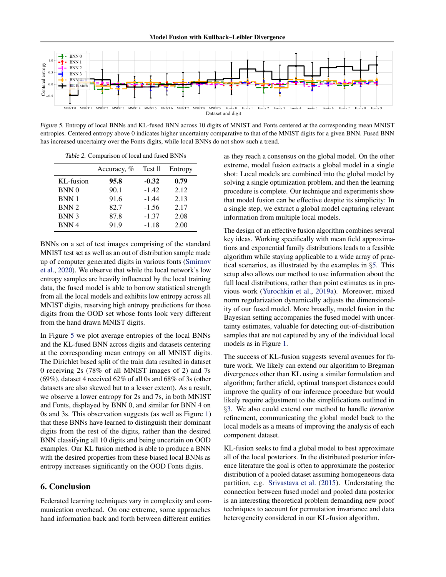<span id="page-7-0"></span>

Figure 5. Entropy of local BNNs and KL-fused BNN across 10 digits of MNIST and Fonts centered at the corresponding mean MNIST entropies. Centered entropy above 0 indicates higher uncertainty comparative to that of the MNIST digits for a given BNN. Fused BNN has increased uncertainty over the Fonts digits, while local BNNs do not show such a trend.

Table 2. Comparison of local and fused BNNs

|                  | Accuracy, % | Test II | Entropy |
|------------------|-------------|---------|---------|
| KL-fusion        | 95.8        | $-0.32$ | 0.79    |
| BNN <sub>0</sub> | 90.1        | $-1.42$ | 2.12    |
| <b>BNN1</b>      | 91.6        | $-1.44$ | 2.13    |
| <b>BNN2</b>      | 82.7        | $-1.56$ | 2.17    |
| BNN 3            | 87.8        | $-1.37$ | 2.08    |
| BNN <sub>4</sub> | 91.9        | $-1.18$ | 2.00    |

BNNs on a set of test images comprising of the standard MNIST test set as well as an out of distribution sample made up of computer generated digits in various fonts [\(Smirnov](#page-8-0) [et al.,](#page-8-0) [2020\)](#page-8-0). We observe that while the local network's low entropy samples are heavily influenced by the local training data, the fused model is able to borrow statistical strength from all the local models and exhibits low entropy across all MNIST digits, reserving high entropy predictions for those digits from the OOD set whose fonts look very different from the hand drawn MNIST digits.

In Figure 5 we plot average entropies of the local BNNs and the KL-fused BNN across digits and datasets centering at the corresponding mean entropy on all MNIST digits. The Dirichlet based split of the train data resulted in dataset 0 receiving 2s (78% of all MNIST images of 2) and 7s (69%), dataset 4 received 62% of all 0s and 68% of 3s (other datasets are also skewed but to a lesser extent). As a result, we observe a lower entropy for 2s and 7s, in both MNIST and Fonts, displayed by BNN 0, and similar for BNN 4 on 0s and 3s. This observation suggests (as well as Figure [1\)](#page-0-0) that these BNNs have learned to distinguish their dominant digits from the rest of the digits, rather than the desired BNN classifying all 10 digits and being uncertain on OOD examples. Our KL fusion method is able to produce a BNN with the desired properties from these biased local BNNs as entropy increases significantly on the OOD Fonts digits.

# 6. Conclusion

Federated learning techniques vary in complexity and communication overhead. On one extreme, some approaches hand information back and forth between different entities

as they reach a consensus on the global model. On the other extreme, model fusion extracts a global model in a single shot: Local models are combined into the global model by solving a single optimization problem, and then the learning procedure is complete. Our technique and experiments show that model fusion can be effective despite its simplicity: In a single step, we extract a global model capturing relevant information from multiple local models.

The design of an effective fusion algorithm combines several key ideas. Working specifically with mean field approximations and exponential family distributions leads to a feasible algorithm while staying applicable to a wide array of practical scenarios, as illustrated by the examples in §[5.](#page-4-0) This setup also allows our method to use information about the full local distributions, rather than point estimates as in previous work [\(Yurochkin et al.,](#page-9-0) [2019a\)](#page-9-0). Moreover, mixed norm regularization dynamically adjusts the dimensionality of our fused model. More broadly, model fusion in the Bayesian setting accompanies the fused model with uncertainty estimates, valuable for detecting out-of-distribution samples that are not captured by any of the individual local models as in Figure [1.](#page-0-0)

The success of KL-fusion suggests several avenues for future work. We likely can extend our algorithm to Bregman divergences other than KL using a similar formulation and algorithm; farther afield, optimal transport distances could improve the quality of our inference procedure but would likely require adjustment to the simplifications outlined in §[3.](#page-2-0) We also could extend our method to handle *iterative* refinement, communicating the global model back to the local models as a means of improving the analysis of each component dataset.

KL-fusion seeks to find a global model to best approximate all of the local posteriors. In the distributed posterior inference literature the goal is often to approximate the posterior distribution of a pooled dataset assuming homogeneous data partition, e.g. [Srivastava et al.](#page-9-0) [\(2015\)](#page-9-0). Understating the connection between fused model and pooled data posterior is an interesting theoretical problem demanding new proof techniques to account for permutation invariance and data heterogeneity considered in our KL-fusion algorithm.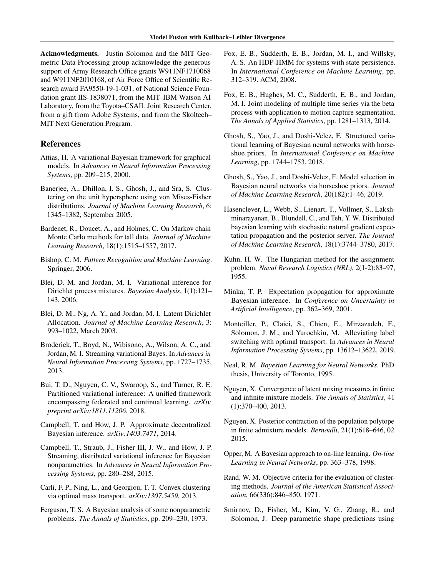<span id="page-8-0"></span>Acknowledgments. Justin Solomon and the MIT Geometric Data Processing group acknowledge the generous support of Army Research Office grants W911NF1710068 and W911NF2010168, of Air Force Office of Scientific Research award FA9550-19-1-031, of National Science Foundation grant IIS-1838071, from the MIT–IBM Watson AI Laboratory, from the Toyota–CSAIL Joint Research Center, from a gift from Adobe Systems, and from the Skoltech– MIT Next Generation Program.

# References

- Attias, H. A variational Bayesian framework for graphical models. In *Advances in Neural Information Processing Systems*, pp. 209–215, 2000.
- Banerjee, A., Dhillon, I. S., Ghosh, J., and Sra, S. Clustering on the unit hypersphere using von Mises-Fisher distributions. *Journal of Machine Learning Research*, 6: 1345–1382, September 2005.
- Bardenet, R., Doucet, A., and Holmes, C. On Markov chain Monte Carlo methods for tall data. *Journal of Machine Learning Research*, 18(1):1515–1557, 2017.
- Bishop, C. M. *Pattern Recognition and Machine Learning*. Springer, 2006.
- Blei, D. M. and Jordan, M. I. Variational inference for Dirichlet process mixtures. *Bayesian Analysis*, 1(1):121– 143, 2006.
- Blei, D. M., Ng, A. Y., and Jordan, M. I. Latent Dirichlet Allocation. *Journal of Machine Learning Research*, 3: 993–1022, March 2003.
- Broderick, T., Boyd, N., Wibisono, A., Wilson, A. C., and Jordan, M. I. Streaming variational Bayes. In *Advances in Neural Information Processing Systems*, pp. 1727–1735, 2013.
- Bui, T. D., Nguyen, C. V., Swaroop, S., and Turner, R. E. Partitioned variational inference: A unified framework encompassing federated and continual learning. *arXiv preprint arXiv:1811.11206*, 2018.
- Campbell, T. and How, J. P. Approximate decentralized Bayesian inference. *arXiv:1403.7471*, 2014.
- Campbell, T., Straub, J., Fisher III, J. W., and How, J. P. Streaming, distributed variational inference for Bayesian nonparametrics. In *Advances in Neural Information Processing Systems*, pp. 280–288, 2015.
- Carli, F. P., Ning, L., and Georgiou, T. T. Convex clustering via optimal mass transport. *arXiv:1307.5459*, 2013.
- Ferguson, T. S. A Bayesian analysis of some nonparametric problems. *The Annals of Statistics*, pp. 209–230, 1973.
- Fox, E. B., Sudderth, E. B., Jordan, M. I., and Willsky, A. S. An HDP-HMM for systems with state persistence. In *International Conference on Machine Learning*, pp. 312–319. ACM, 2008.
- Fox, E. B., Hughes, M. C., Sudderth, E. B., and Jordan, M. I. Joint modeling of multiple time series via the beta process with application to motion capture segmentation. *The Annals of Applied Statistics*, pp. 1281–1313, 2014.
- Ghosh, S., Yao, J., and Doshi-Velez, F. Structured variational learning of Bayesian neural networks with horseshoe priors. In *International Conference on Machine Learning*, pp. 1744–1753, 2018.
- Ghosh, S., Yao, J., and Doshi-Velez, F. Model selection in Bayesian neural networks via horseshoe priors. *Journal of Machine Learning Research*, 20(182):1–46, 2019.
- Hasenclever, L., Webb, S., Lienart, T., Vollmer, S., Lakshminarayanan, B., Blundell, C., and Teh, Y. W. Distributed bayesian learning with stochastic natural gradient expectation propagation and the posterior server. *The Journal of Machine Learning Research*, 18(1):3744–3780, 2017.
- Kuhn, H. W. The Hungarian method for the assignment problem. *Naval Research Logistics (NRL)*, 2(1-2):83–97, 1955.
- Minka, T. P. Expectation propagation for approximate Bayesian inference. In *Conference on Uncertainty in Artificial Intelligence*, pp. 362–369, 2001.
- Monteiller, P., Claici, S., Chien, E., Mirzazadeh, F., Solomon, J. M., and Yurochkin, M. Alleviating label switching with optimal transport. In *Advances in Neural Information Processing Systems*, pp. 13612–13622, 2019.
- Neal, R. M. *Bayesian Learning for Neural Networks*. PhD thesis, University of Toronto, 1995.
- Nguyen, X. Convergence of latent mixing measures in finite and infinite mixture models. *The Annals of Statistics*, 41 (1):370–400, 2013.
- Nguyen, X. Posterior contraction of the population polytope in finite admixture models. *Bernoulli*, 21(1):618–646, 02 2015.
- Opper, M. A Bayesian approach to on-line learning. *On-line Learning in Neural Networks*, pp. 363–378, 1998.
- Rand, W. M. Objective criteria for the evaluation of clustering methods. *Journal of the American Statistical Association*, 66(336):846–850, 1971.
- Smirnov, D., Fisher, M., Kim, V. G., Zhang, R., and Solomon, J. Deep parametric shape predictions using